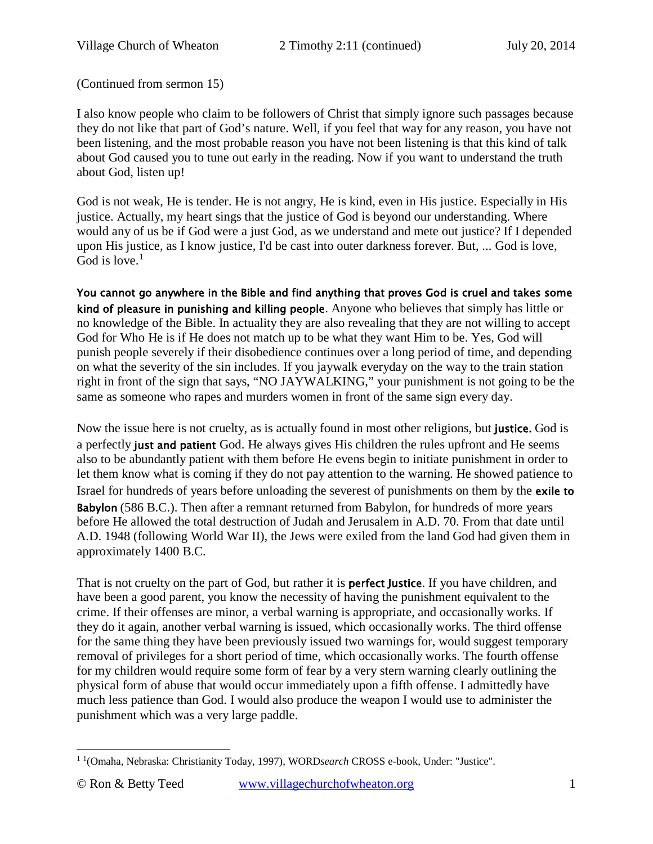(Continued from sermon 15)

I also know people who claim to be followers of Christ that simply ignore such passages because they do not like that part of God's nature. Well, if you feel that way for any reason, you have not been listening, and the most probable reason you have not been listening is that this kind of talk about God caused you to tune out early in the reading. Now if you want to understand the truth about God, listen up!

God is not weak, He is tender. He is not angry, He is kind, even in His justice. Especially in His justice. Actually, my heart sings that the justice of God is beyond our understanding. Where would any of us be if God were a just God, as we understand and mete out justice? If I depended upon His justice, as I know justice, I'd be cast into outer darkness forever. But, ... God is love, God is love. $<sup>1</sup>$  $<sup>1</sup>$  $<sup>1</sup>$ </sup>

You cannot go anywhere in the Bible and find anything that proves God is cruel and takes some kind of pleasure in punishing and killing people. Anyone who believes that simply has little or no knowledge of the Bible. In actuality they are also revealing that they are not willing to accept God for Who He is if He does not match up to be what they want Him to be. Yes, God will punish people severely if their disobedience continues over a long period of time, and depending on what the severity of the sin includes. If you jaywalk everyday on the way to the train station right in front of the sign that says, "NO JAYWALKING," your punishment is not going to be the same as someone who rapes and murders women in front of the same sign every day.

Now the issue here is not cruelty, as is actually found in most other religions, but justice. God is a perfectly just and patient God. He always gives His children the rules upfront and He seems also to be abundantly patient with them before He evens begin to initiate punishment in order to let them know what is coming if they do not pay attention to the warning. He showed patience to Israel for hundreds of years before unloading the severest of punishments on them by the exile to Babylon (586 B.C.). Then after a remnant returned from Babylon, for hundreds of more years before He allowed the total destruction of Judah and Jerusalem in A.D. 70. From that date until A.D. 1948 (following World War II), the Jews were exiled from the land God had given them in approximately 1400 B.C.

That is not cruelty on the part of God, but rather it is **perfect Justice**. If you have children, and have been a good parent, you know the necessity of having the punishment equivalent to the crime. If their offenses are minor, a verbal warning is appropriate, and occasionally works. If they do it again, another verbal warning is issued, which occasionally works. The third offense for the same thing they have been previously issued two warnings for, would suggest temporary removal of privileges for a short period of time, which occasionally works. The fourth offense for my children would require some form of fear by a very stern warning clearly outlining the physical form of abuse that would occur immediately upon a fifth offense. I admittedly have much less patience than God. I would also produce the weapon I would use to administer the punishment which was a very large paddle.

<span id="page-0-0"></span><sup>&</sup>lt;sup>1</sup> <sup>1</sup>(Omaha, Nebraska: Christianity Today, 1997), WORD*search* CROSS e-book, Under: "Justice".  $\overline{a}$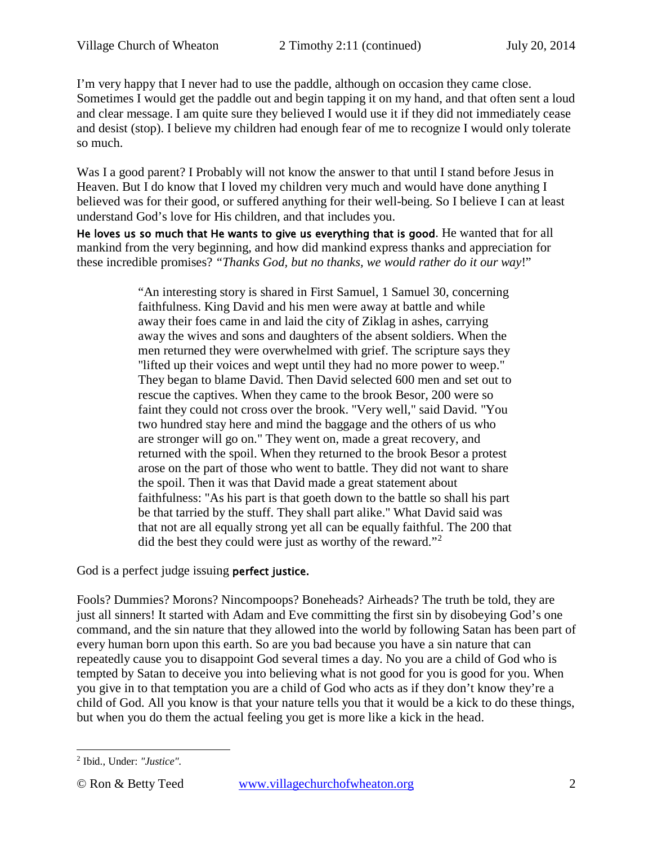I'm very happy that I never had to use the paddle, although on occasion they came close. Sometimes I would get the paddle out and begin tapping it on my hand, and that often sent a loud and clear message. I am quite sure they believed I would use it if they did not immediately cease and desist (stop). I believe my children had enough fear of me to recognize I would only tolerate so much.

Was I a good parent? I Probably will not know the answer to that until I stand before Jesus in Heaven. But I do know that I loved my children very much and would have done anything I believed was for their good, or suffered anything for their well-being. So I believe I can at least understand God's love for His children, and that includes you.

He loves us so much that He wants to give us everything that is good. He wanted that for all mankind from the very beginning, and how did mankind express thanks and appreciation for these incredible promises? *"Thanks God, but no thanks, we would rather do it our way*!"

> "An interesting story is shared in First Samuel, [1 Samuel 30,](http://www.crossbooks.com/verse.asp?ref=1Sa+30) concerning faithfulness. King David and his men were away at battle and while away their foes came in and laid the city of Ziklag in ashes, carrying away the wives and sons and daughters of the absent soldiers. When the men returned they were overwhelmed with grief. The scripture says they "lifted up their voices and wept until they had no more power to weep." They began to blame David. Then David selected 600 men and set out to rescue the captives. When they came to the brook Besor, 200 were so faint they could not cross over the brook. "Very well," said David. "You two hundred stay here and mind the baggage and the others of us who are stronger will go on." They went on, made a great recovery, and returned with the spoil. When they returned to the brook Besor a protest arose on the part of those who went to battle. They did not want to share the spoil. Then it was that David made a great statement about faithfulness: "As his part is that goeth down to the battle so shall his part be that tarried by the stuff. They shall part alike." What David said was that not are all equally strong yet all can be equally faithful. The 200 that did the best they could were just as worthy of the reward."[2](#page-1-0)

God is a perfect judge issuing perfect justice.

Fools? Dummies? Morons? Nincompoops? Boneheads? Airheads? The truth be told, they are just all sinners! It started with Adam and Eve committing the first sin by disobeying God's one command, and the sin nature that they allowed into the world by following Satan has been part of every human born upon this earth. So are you bad because you have a sin nature that can repeatedly cause you to disappoint God several times a day. No you are a child of God who is tempted by Satan to deceive you into believing what is not good for you is good for you. When you give in to that temptation you are a child of God who acts as if they don't know they're a child of God. All you know is that your nature tells you that it would be a kick to do these things, but when you do them the actual feeling you get is more like a kick in the head.

<span id="page-1-0"></span><sup>2</sup> Ibid., Under: *"Justice".*  $\overline{a}$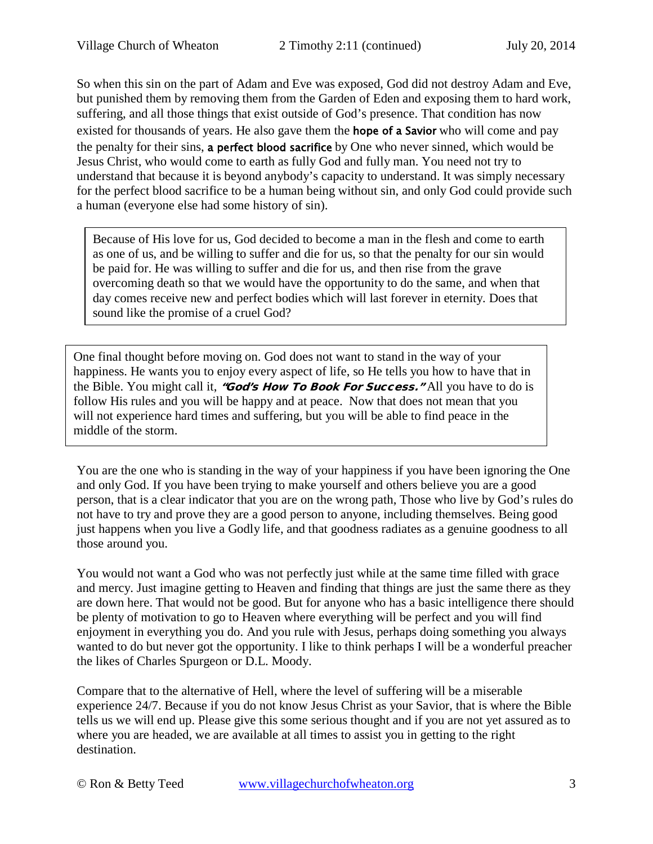So when this sin on the part of Adam and Eve was exposed, God did not destroy Adam and Eve, but punished them by removing them from the Garden of Eden and exposing them to hard work, suffering, and all those things that exist outside of God's presence. That condition has now existed for thousands of years. He also gave them the **hope of a Savior** who will come and pay the penalty for their sins, a perfect blood sacrifice by One who never sinned, which would be Jesus Christ, who would come to earth as fully God and fully man. You need not try to understand that because it is beyond anybody's capacity to understand. It was simply necessary for the perfect blood sacrifice to be a human being without sin, and only God could provide such a human (everyone else had some history of sin).

Because of His love for us, God decided to become a man in the flesh and come to earth as one of us, and be willing to suffer and die for us, so that the penalty for our sin would be paid for. He was willing to suffer and die for us, and then rise from the grave overcoming death so that we would have the opportunity to do the same, and when that day comes receive new and perfect bodies which will last forever in eternity. Does that sound like the promise of a cruel God?

One final thought before moving on. God does not want to stand in the way of your happiness. He wants you to enjoy every aspect of life, so He tells you how to have that in the Bible. You might call it, "God's How To Book For Success." All you have to do is follow His rules and you will be happy and at peace. Now that does not mean that you will not experience hard times and suffering, but you will be able to find peace in the middle of the storm.

You are the one who is standing in the way of your happiness if you have been ignoring the One and only God. If you have been trying to make yourself and others believe you are a good person, that is a clear indicator that you are on the wrong path, Those who live by God's rules do not have to try and prove they are a good person to anyone, including themselves. Being good just happens when you live a Godly life, and that goodness radiates as a genuine goodness to all those around you.

You would not want a God who was not perfectly just while at the same time filled with grace and mercy. Just imagine getting to Heaven and finding that things are just the same there as they are down here. That would not be good. But for anyone who has a basic intelligence there should be plenty of motivation to go to Heaven where everything will be perfect and you will find enjoyment in everything you do. And you rule with Jesus, perhaps doing something you always wanted to do but never got the opportunity. I like to think perhaps I will be a wonderful preacher the likes of Charles Spurgeon or D.L. Moody.

Compare that to the alternative of Hell, where the level of suffering will be a miserable experience 24/7. Because if you do not know Jesus Christ as your Savior, that is where the Bible tells us we will end up. Please give this some serious thought and if you are not yet assured as to where you are headed, we are available at all times to assist you in getting to the right destination.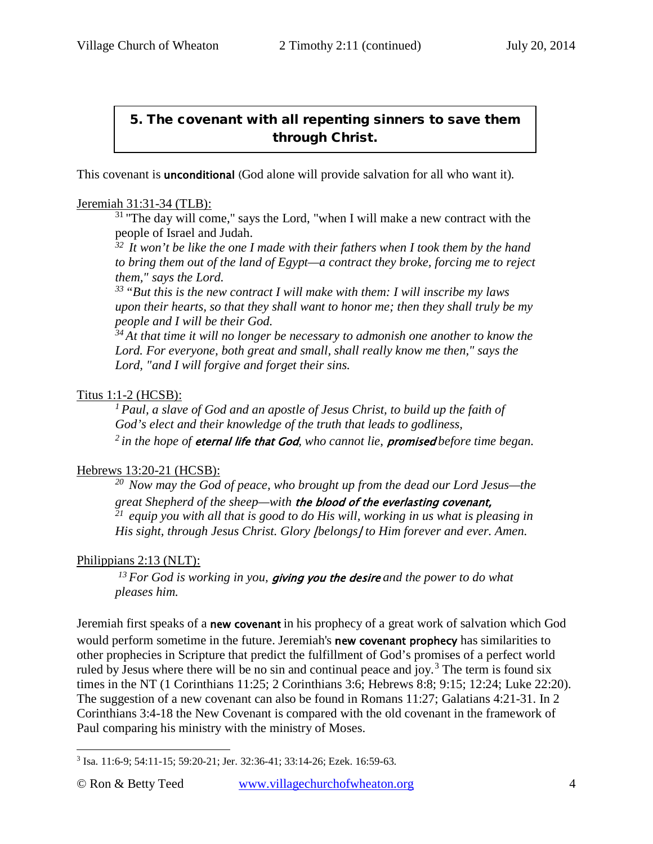# 5. The covenant with all repenting sinners to save them through Christ.

This covenant is **unconditional** (God alone will provide salvation for all who want it).

#### Jeremiah 31:31-34 (TLB):

 $31$  "The day will come," says the Lord, "when I will make a new contract with the people of Israel and Judah.

*32 It won't be like the one I made with their fathers when I took them by the hand to bring them out of the land of Egypt—a contract they broke, forcing me to reject them," says the Lord.* 

*33 "But this is the new contract I will make with them: I will inscribe my laws upon their hearts, so that they shall want to honor me; then they shall truly be my people and I will be their God.* 

*34 At that time it will no longer be necessary to admonish one another to know the Lord. For everyone, both great and small, shall really know me then," says the Lord, "and I will forgive and forget their sins.*

#### Titus 1:1-2 (HCSB):

*1 Paul, a slave of God and an apostle of Jesus Christ, to build up the faith of God's elect and their knowledge of the truth that leads to godliness, 2 in the hope of* eternal life that God*, who cannot lie,* promised *before time began.* 

#### Hebrews 13:20-21 (HCSB):

*20 Now may the God of peace, who brought up from the dead our Lord Jesus—the great Shepherd of the sheep—with* the blood of the everlasting covenant, *21 equip you with all that is good to do His will, working in us what is pleasing in His sight, through Jesus Christ. Glory |belongs| to Him forever and ever. Amen.* 

#### Philippians 2:13 (NLT):

*13 For God is working in you,* giving you the desire *and the power to do what pleases him.* 

Jeremiah first speaks of a new covenant in his prophecy of a great work of salvation which God would perform sometime in the future. Jeremiah's **new covenant prophecy** has similarities to other prophecies in Scripture that predict the fulfillment of God's promises of a perfect world ruled by Jesus where there will be no sin and continual peace and joy.<sup>[3](#page-3-0)</sup> The term is found six times in the NT [\(1 Corinthians 11:25;](http://www.crossbooks.com/verse.asp?ref=1Co+11%3A25) [2 Corinthians 3:6;](http://www.crossbooks.com/verse.asp?ref=2Co+3%3A6) [Hebrews 8:8;](http://www.crossbooks.com/verse.asp?ref=Heb+8%3A8) [9:15;](http://www.crossbooks.com/verse.asp?ref=Heb+9%3A15) [12:24;](http://www.crossbooks.com/verse.asp?ref=Heb+12%3A24) [Luke 22:20\)](http://www.crossbooks.com/verse.asp?ref=Lk+22%3A20). The suggestion of a new covenant can also be found in [Romans 11:27;](http://www.crossbooks.com/verse.asp?ref=Ro+11%3A27) [Galatians 4:21-31.](http://www.crossbooks.com/verse.asp?ref=Gal+4%3A21-31) In [2](http://www.crossbooks.com/verse.asp?ref=2Co+3%3A4-18)  [Corinthians 3:4-18](http://www.crossbooks.com/verse.asp?ref=2Co+3%3A4-18) the New Covenant is compared with the old covenant in the framework of Paul comparing his ministry with the ministry of Moses.

<span id="page-3-0"></span><sup>3</sup> [Isa. 11:6-9;](http://www.crossbooks.com/verse.asp?ref=Isa+11%3A6-9) [54:11-15;](http://www.crossbooks.com/verse.asp?ref=Isa+54%3A11-15) [59:20-21;](http://www.crossbooks.com/verse.asp?ref=Isa+59%3A20-21) [Jer. 32:36-41;](http://www.crossbooks.com/verse.asp?ref=Jer+32%3A36-41) [33:14-26;](http://www.crossbooks.com/verse.asp?ref=Jer+33%3A14-26) [Ezek. 16:59-63.](http://www.crossbooks.com/verse.asp?ref=Eze+16%3A59-63)  $\overline{a}$